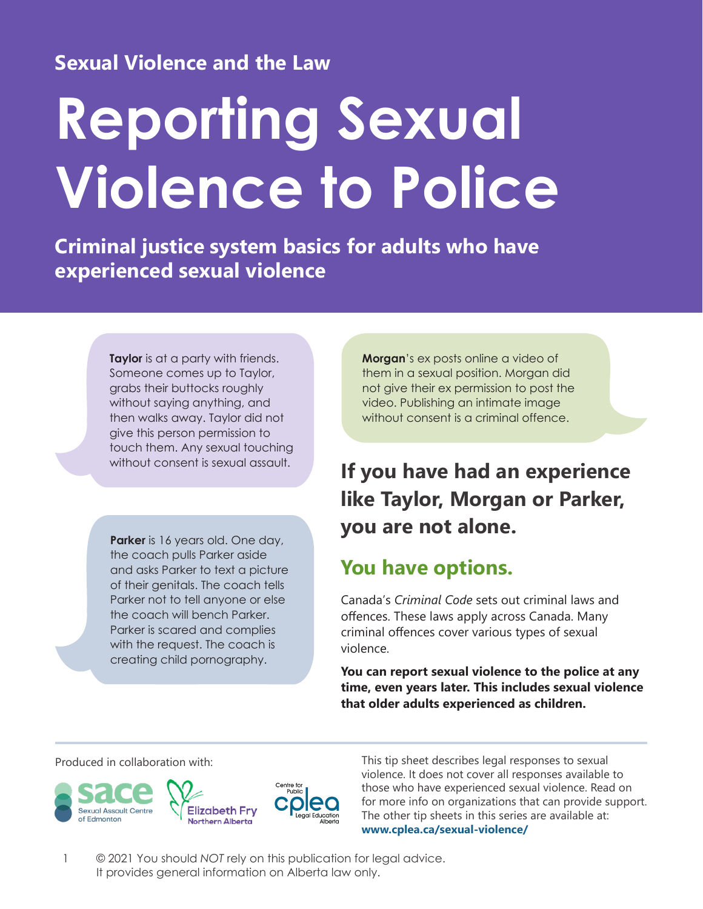## **Sexual Violence and the Law**

# **Reporting Sexual Violence to Police**

**Criminal justice system basics for adults who have experienced sexual violence**

> **Taylor** is at a party with friends. Someone comes up to Taylor, grabs their buttocks roughly without saying anything, and then walks away. Taylor did not give this person permission to touch them. Any sexual touching without consent is sexual assault.

**Parker** is 16 years old. One day, the coach pulls Parker aside and asks Parker to text a picture of their genitals. The coach tells Parker not to tell anyone or else the coach will bench Parker. Parker is scared and complies with the request. The coach is creating child pornography.

**Morgan**'s ex posts online a video of them in a sexual position. Morgan did not give their ex permission to post the video. Publishing an intimate image without consent is a criminal offence.

## **If you have had an experience like Taylor, Morgan or Parker, you are not alone.**

## **You have options.**

Canada's *Criminal Code* sets out criminal laws and offences. These laws apply across Canada. Many criminal offences cover various types of sexual violence.

**You can report sexual violence to the police at any time, even years later. This includes sexual violence that older adults experienced as children.**



Produced in collaboration with: This tip sheet describes legal responses to sexual violence. It does not cover all responses available to those who have experienced sexual violence. Read on for more info on organizations that can provide support. The other tip sheets in this series are available at: **[www.cplea.ca/sexual-violence/](http://www.cplea.ca/sexual-violence/)**

1 © 2021 You should *NOT* rely on this publication for legal advice. It provides general information on Alberta law only.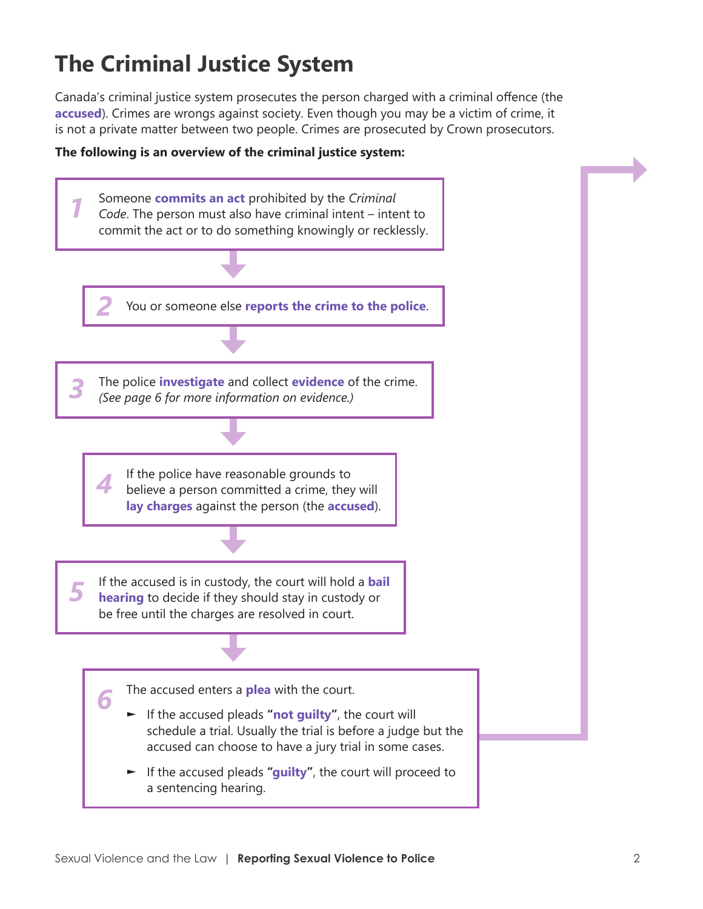# **The Criminal Justice System**

Canada's criminal justice system prosecutes the person charged with a criminal offence (the **accused**). Crimes are wrongs against society. Even though you may be a victim of crime, it is not a private matter between two people. Crimes are prosecuted by Crown prosecutors.



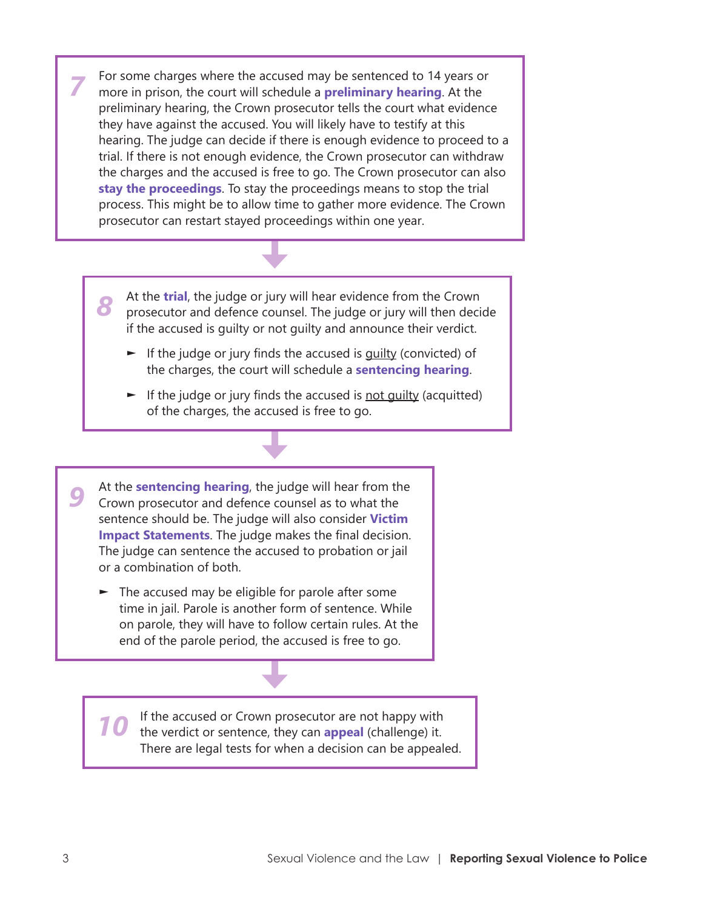For some charges where the accused may be sentenced to 14 years or more in prison, the court will schedule a **preliminary hearing**. At the preliminary hearing, the Crown prosecutor tells the court what evidence they have against the accused. You will likely have to testify at this hearing. The judge can decide if there is enough evidence to proceed to a trial. If there is not enough evidence, the Crown prosecutor can withdraw the charges and the accused is free to go. The Crown prosecutor can also **stay the proceedings**. To stay the proceedings means to stop the trial process. This might be to allow time to gather more evidence. The Crown prosecutor can restart stayed proceedings within one year. *7*

- At the **trial**, the judge or jury will hear evidence from the Crown prosecutor and defence counsel. The judge or jury will then decide if the accused is guilty or not guilty and announce their verdict. *8*
	- ► If the judge or jury finds the accused is quilty (convicted) of the charges, the court will schedule a **sentencing hearing**.
	- $\blacktriangleright$  If the judge or jury finds the accused is not quilty (acquitted) of the charges, the accused is free to go.

At the **sentencing hearing**, the judge will hear from the Crown prosecutor and defence counsel as to what the sentence should be. The judge will also consider **Victim Impact Statements**. The judge makes the final decision. The judge can sentence the accused to probation or jail or a combination of both. *9*

 $\blacktriangleright$  The accused may be eligible for parole after some time in jail. Parole is another form of sentence. While on parole, they will have to follow certain rules. At the end of the parole period, the accused is free to go.

If the accused or Crown prosecutor are not happy with the verdict or sentence, they can **appeal** (challenge) it. There are legal tests for when a decision can be appealed. *10*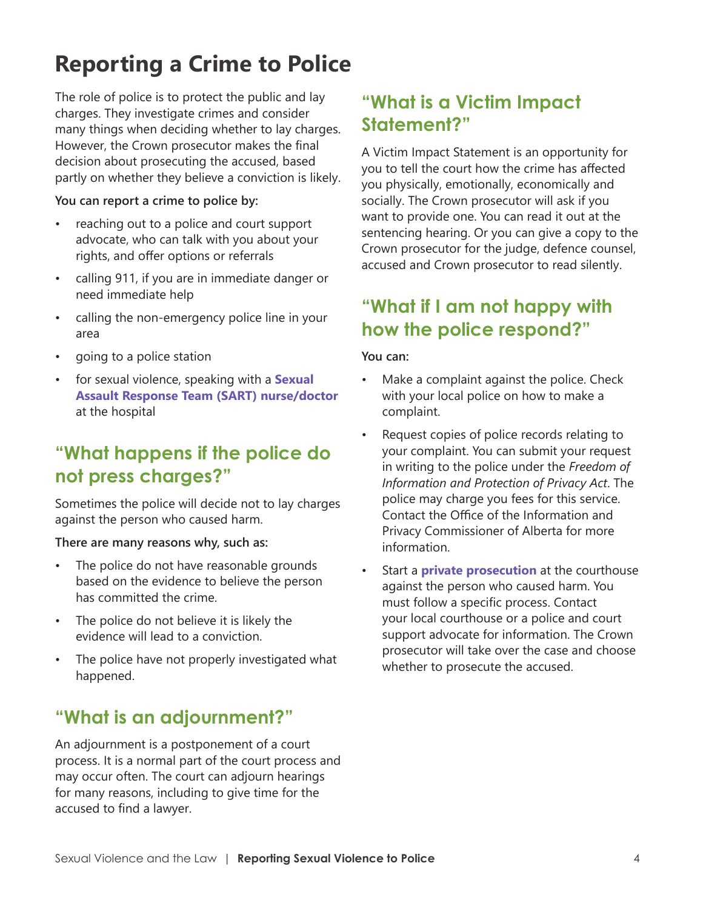# **Reporting a Crime to Police**

The role of police is to protect the public and lay charges. They investigate crimes and consider many things when deciding whether to lay charges. However, the Crown prosecutor makes the final decision about prosecuting the accused, based partly on whether they believe a conviction is likely.

#### **You can report a crime to police by:**

- reaching out to a police and court support advocate, who can talk with you about your rights, and offer options or referrals
- calling 911, if you are in immediate danger or need immediate help
- calling the non-emergency police line in your area
- going to a police station
- for sexual violence, speaking with a **Sexual Assault Response Team (SART) nurse/doctor** at the hospital

## **"What happens if the police do not press charges?"**

Sometimes the police will decide not to lay charges against the person who caused harm.

#### **There are many reasons why, such as:**

- The police do not have reasonable grounds based on the evidence to believe the person has committed the crime.
- The police do not believe it is likely the evidence will lead to a conviction.
- The police have not properly investigated what happened.

## **"What is an adjournment?"**

An adjournment is a postponement of a court process. It is a normal part of the court process and may occur often. The court can adjourn hearings for many reasons, including to give time for the accused to find a lawyer.

## **"What is a Victim Impact Statement?"**

A Victim Impact Statement is an opportunity for you to tell the court how the crime has affected you physically, emotionally, economically and socially. The Crown prosecutor will ask if you want to provide one. You can read it out at the sentencing hearing. Or you can give a copy to the Crown prosecutor for the judge, defence counsel, accused and Crown prosecutor to read silently.

## **"What if I am not happy with how the police respond?"**

#### **You can:**

- Make a complaint against the police. Check with your local police on how to make a complaint.
- Request copies of police records relating to your complaint. You can submit your request in writing to the police under the *Freedom of Information and Protection of Privacy Act*. The police may charge you fees for this service. Contact the Office of the Information and Privacy Commissioner of Alberta for more information.
- Start a **private prosecution** at the courthouse against the person who caused harm. You must follow a specific process. Contact your local courthouse or a police and court support advocate for information. The Crown prosecutor will take over the case and choose whether to prosecute the accused.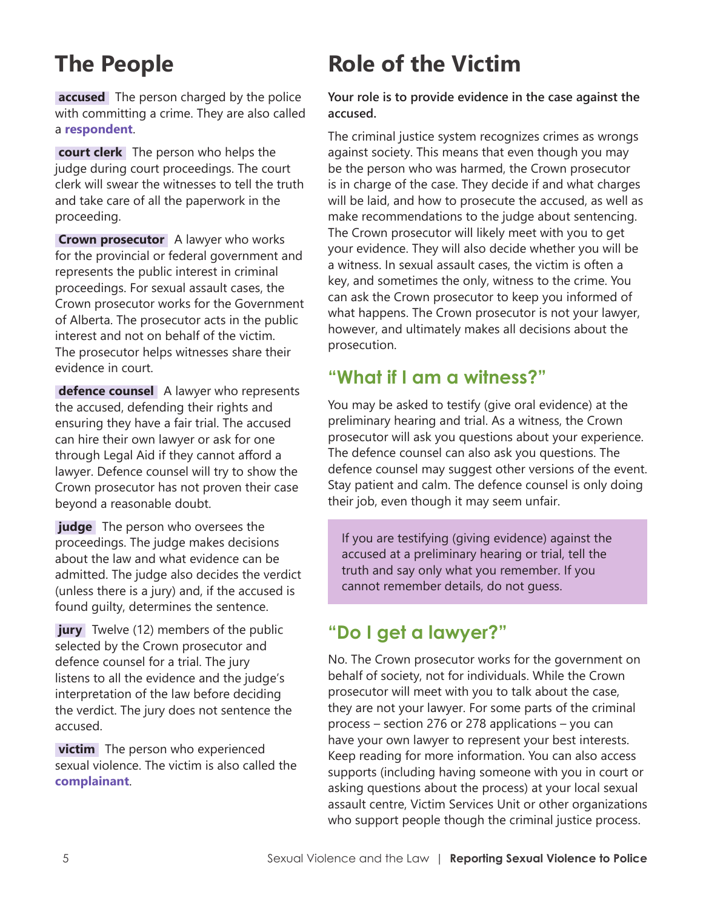# **The People**

**accused** The person charged by the police with committing a crime. They are also called a **respondent**.

 **court clerk** The person who helps the judge during court proceedings. The court clerk will swear the witnesses to tell the truth and take care of all the paperwork in the proceeding.

**Crown prosecutor** A lawyer who works for the provincial or federal government and represents the public interest in criminal proceedings. For sexual assault cases, the Crown prosecutor works for the Government of Alberta. The prosecutor acts in the public interest and not on behalf of the victim. The prosecutor helps witnesses share their evidence in court.

 **defence counsel** A lawyer who represents the accused, defending their rights and ensuring they have a fair trial. The accused can hire their own lawyer or ask for one through Legal Aid if they cannot afford a lawyer. Defence counsel will try to show the Crown prosecutor has not proven their case beyond a reasonable doubt.

**judge** The person who oversees the proceedings. The judge makes decisions about the law and what evidence can be admitted. The judge also decides the verdict (unless there is a jury) and, if the accused is found guilty, determines the sentence.

**jury** Twelve (12) members of the public selected by the Crown prosecutor and defence counsel for a trial. The jury listens to all the evidence and the judge's interpretation of the law before deciding the verdict. The jury does not sentence the accused.

**victim** The person who experienced sexual violence. The victim is also called the **complainant**.

# **Role of the Victim**

**Your role is to provide evidence in the case against the accused.**

The criminal justice system recognizes crimes as wrongs against society. This means that even though you may be the person who was harmed, the Crown prosecutor is in charge of the case. They decide if and what charges will be laid, and how to prosecute the accused, as well as make recommendations to the judge about sentencing. The Crown prosecutor will likely meet with you to get your evidence. They will also decide whether you will be a witness. In sexual assault cases, the victim is often a key, and sometimes the only, witness to the crime. You can ask the Crown prosecutor to keep you informed of what happens. The Crown prosecutor is not your lawyer, however, and ultimately makes all decisions about the prosecution.

## **"What if I am a witness?"**

You may be asked to testify (give oral evidence) at the preliminary hearing and trial. As a witness, the Crown prosecutor will ask you questions about your experience. The defence counsel can also ask you questions. The defence counsel may suggest other versions of the event. Stay patient and calm. The defence counsel is only doing their job, even though it may seem unfair.

If you are testifying (giving evidence) against the accused at a preliminary hearing or trial, tell the truth and say only what you remember. If you cannot remember details, do not guess.

## **"Do I get a lawyer?"**

No. The Crown prosecutor works for the government on behalf of society, not for individuals. While the Crown prosecutor will meet with you to talk about the case, they are not your lawyer. For some parts of the criminal process – section 276 or 278 applications – you can have your own lawyer to represent your best interests. Keep reading for more information. You can also access supports (including having someone with you in court or asking questions about the process) at your local sexual assault centre, Victim Services Unit or other organizations who support people though the criminal justice process.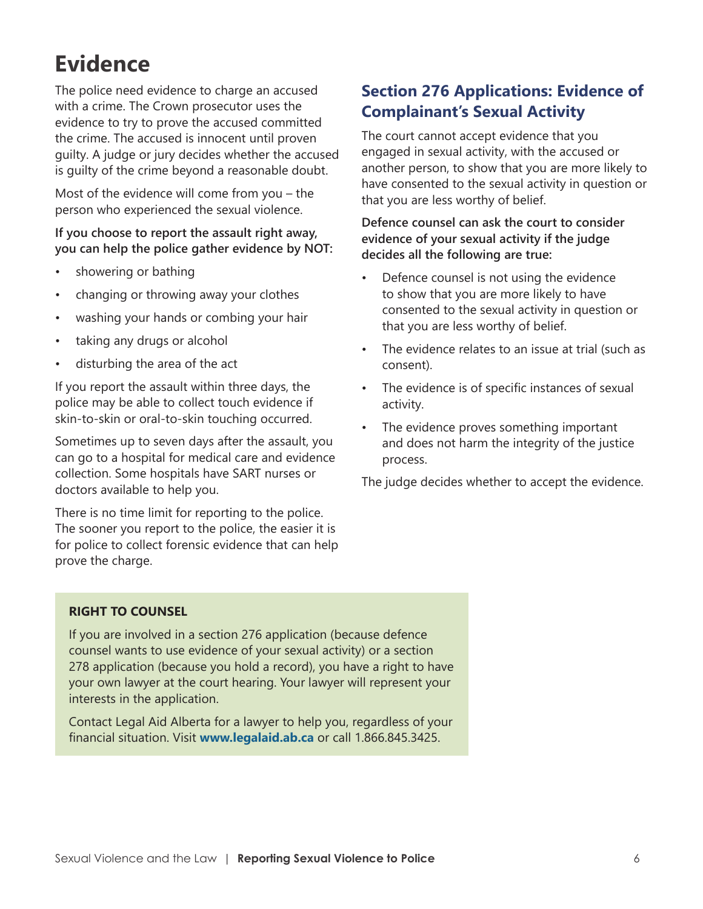# **Evidence**

The police need evidence to charge an accused with a crime. The Crown prosecutor uses the evidence to try to prove the accused committed the crime. The accused is innocent until proven guilty. A judge or jury decides whether the accused is guilty of the crime beyond a reasonable doubt.

Most of the evidence will come from you – the person who experienced the sexual violence.

#### **If you choose to report the assault right away, you can help the police gather evidence by NOT:**

- showering or bathing
- changing or throwing away your clothes
- washing your hands or combing your hair
- taking any drugs or alcohol
- disturbing the area of the act

If you report the assault within three days, the police may be able to collect touch evidence if skin-to-skin or oral-to-skin touching occurred.

Sometimes up to seven days after the assault, you can go to a hospital for medical care and evidence collection. Some hospitals have SART nurses or doctors available to help you.

There is no time limit for reporting to the police. The sooner you report to the police, the easier it is for police to collect forensic evidence that can help prove the charge.

### **Section 276 Applications: Evidence of Complainant's Sexual Activity**

The court cannot accept evidence that you engaged in sexual activity, with the accused or another person, to show that you are more likely to have consented to the sexual activity in question or that you are less worthy of belief.

#### **Defence counsel can ask the court to consider evidence of your sexual activity if the judge decides all the following are true:**

- Defence counsel is not using the evidence to show that you are more likely to have consented to the sexual activity in question or that you are less worthy of belief.
- The evidence relates to an issue at trial (such as consent).
- The evidence is of specific instances of sexual activity.
- The evidence proves something important and does not harm the integrity of the justice process.

The judge decides whether to accept the evidence.

#### **RIGHT TO COUNSEL**

If you are involved in a section 276 application (because defence counsel wants to use evidence of your sexual activity) or a section 278 application (because you hold a record), you have a right to have your own lawyer at the court hearing. Your lawyer will represent your interests in the application.

Contact Legal Aid Alberta for a lawyer to help you, regardless of your financial situation. Visit **[www.legalaid.ab.ca](http://www.legalaid.ab.ca)** or call 1.866.845.3425.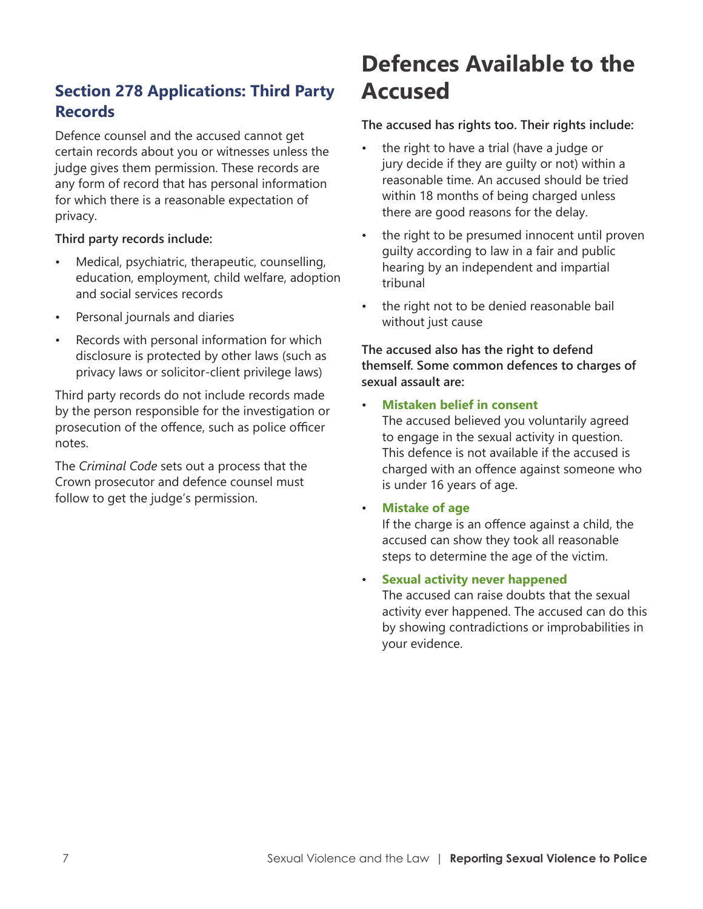## **Section 278 Applications: Third Party Records**

Defence counsel and the accused cannot get certain records about you or witnesses unless the judge gives them permission. These records are any form of record that has personal information for which there is a reasonable expectation of privacy.

#### **Third party records include:**

- Medical, psychiatric, therapeutic, counselling, education, employment, child welfare, adoption and social services records
- Personal journals and diaries
- Records with personal information for which disclosure is protected by other laws (such as privacy laws or solicitor-client privilege laws)

Third party records do not include records made by the person responsible for the investigation or prosecution of the offence, such as police officer notes.

The *Criminal Code* sets out a process that the Crown prosecutor and defence counsel must follow to get the judge's permission.

# **Defences Available to the Accused**

#### **The accused has rights too. Their rights include:**

- the right to have a trial (have a judge or jury decide if they are guilty or not) within a reasonable time. An accused should be tried within 18 months of being charged unless there are good reasons for the delay.
- the right to be presumed innocent until proven guilty according to law in a fair and public hearing by an independent and impartial tribunal
- the right not to be denied reasonable bail without just cause

#### **The accused also has the right to defend themself. Some common defences to charges of sexual assault are:**

• **Mistaken belief in consent** The accused believed you voluntarily agreed to engage in the sexual activity in question. This defence is not available if the accused is

charged with an offence against someone who is under 16 years of age.

#### • **Mistake of age**

If the charge is an offence against a child, the accused can show they took all reasonable steps to determine the age of the victim.

• **Sexual activity never happened**

The accused can raise doubts that the sexual activity ever happened. The accused can do this by showing contradictions or improbabilities in your evidence.